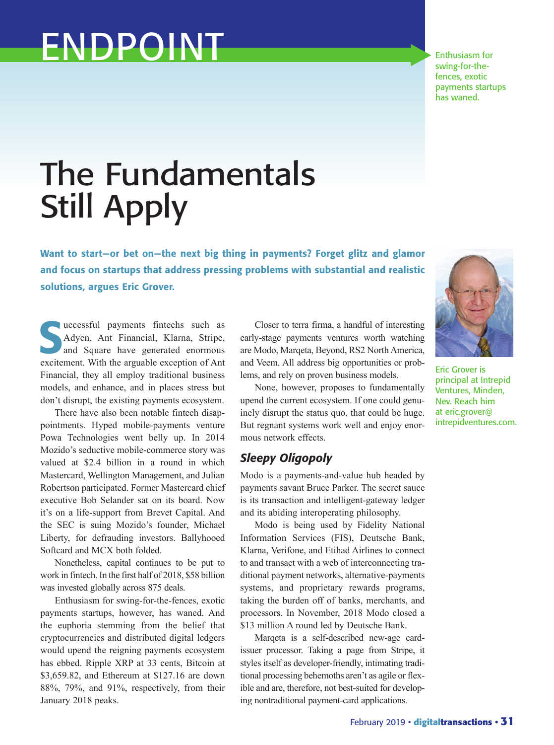# ENDPOINT

Enthusiasm for swing-for-thefences, exotic payments startups has waned.

## The Fundamentals Still Apply

Want to start—or bet on—the next big thing in payments? Forget glitz and glamor and focus on startups that address pressing problems with substantial and realistic solutions, argues Eric Grover.

successful payments fintechs such as<br>Adyen, Ant Financial, Klarna, Stripe,<br>and Square have generated enormous<br>availances with the argueble avantion of Ant Adyen, Ant Financial, Klarna, Stripe, and Square have generated enormous excitement. With the arguable exception of Ant Financial, they all employ traditional business models, and enhance, and in places stress but don't disrupt, the existing payments ecosystem.

There have also been notable fintech disappointments. Hyped mobile-payments venture Powa Technologies went belly up. In 2014 Mozido's seductive mobile-commerce story was valued at \$2.4 billion in a round in which Mastercard, Wellington Management, and Julian Robertson participated. Former Mastercard chief executive Bob Selander sat on its board. Now it's on a life-support from Brevet Capital. And the SEC is suing Mozido's founder, Michael Liberty, for defrauding investors. Ballyhooed Softcard and MCX both folded.

Nonetheless, capital continues to be put to work in fintech. In the first half of 2018, \$58 billion was invested globally across 875 deals.

Enthusiasm for swing-for-the-fences, exotic payments startups, however, has waned. And the euphoria stemming from the belief that cryptocurrencies and distributed digital ledgers would upend the reigning payments ecosystem has ebbed. Ripple XRP at 33 cents, Bitcoin at \$3,659.82, and Ethereum at \$127.16 are down 88%, 79%, and 91%, respectively, from their January 2018 peaks.

Closer to terra firma, a handful of interesting early-stage payments ventures worth watching are Modo, Marqeta, Beyond, RS2 North America, and Veem. All address big opportunities or problems, and rely on proven business models.

None, however, proposes to fundamentally upend the current ecosystem. If one could genuinely disrupt the status quo, that could be huge. But regnant systems work well and enjoy enormous network effects.

#### *Sleepy Oligopoly*

Modo is a payments-and-value hub headed by payments savant Bruce Parker. The secret sauce is its transaction and intelligent-gateway ledger and its abiding interoperating philosophy.

Modo is being used by Fidelity National Information Services (FIS), Deutsche Bank, Klarna, Verifone, and Etihad Airlines to connect to and transact with a web of interconnecting traditional payment networks, alternative-payments systems, and proprietary rewards programs, taking the burden off of banks, merchants, and processors. In November, 2018 Modo closed a \$13 million A round led by Deutsche Bank.

Marqeta is a self-described new-age cardissuer processor. Taking a page from Stripe, it styles itself as developer-friendly, intimating traditional processing behemoths aren't as agile or flexible and are, therefore, not best-suited for developing nontraditional payment-card applications.



Eric Grover is principal at Intrepid Ventures, Minden, Nev. Reach him at eric.grover@ intrepidventures.com.